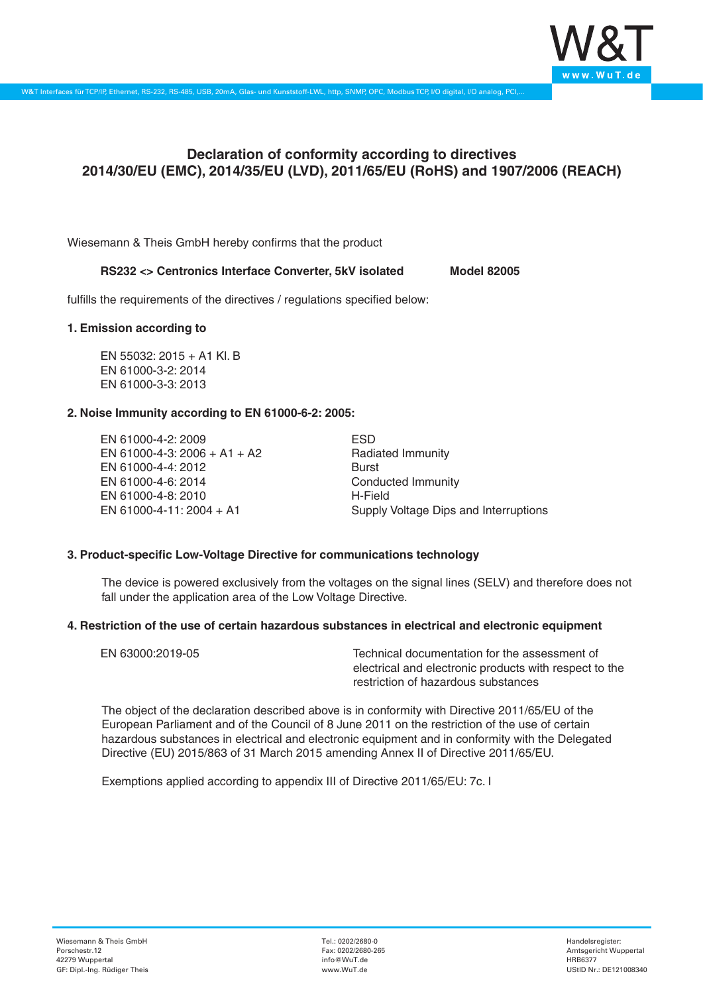

# **Declaration of conformity according to directives 2014/30/EU (EMC), 2014/35/EU (LVD), 2011/65/EU (RoHS) and 1907/2006 (REACH)**

Wiesemann & Theis GmbH hereby confirms that the product

## **RS232 <> Centronics Interface Converter, 5kV isolated Model 82005**

fulfills the requirements of the directives / regulations specified below:

#### **1. Emission according to**

EN 55032: 2015 + A1 Kl. B EN 61000-3-2: 2014 EN 61000-3-3: 2013

#### **2. Noise Immunity according to EN 61000-6-2: 2005:**

EN 61000-4-2: 2009 EN 61000-4-3: 2006 + A1 + A2 EN 61000-4-4: 2012 EN 61000-4-6: 2014 EN 61000-4-8: 2010 EN 61000-4-11: 2004 + A1

ESD Radiated Immunity Burst Conducted Immunity H-Field Supply Voltage Dips and Interruptions

## **3. Product-specific Low-Voltage Directive for communications technology**

The device is powered exclusively from the voltages on the signal lines (SELV) and therefore does not fall under the application area of the Low Voltage Directive.

#### **4. Restriction of the use of certain hazardous substances in electrical and electronic equipment**

| EN 63000:2019-05 | Technical documentation for the assessment of          |
|------------------|--------------------------------------------------------|
|                  | electrical and electronic products with respect to the |
|                  | restriction of hazardous substances                    |

The object of the declaration described above is in conformity with Directive 2011/65/EU of the European Parliament and of the Council of 8 June 2011 on the restriction of the use of certain hazardous substances in electrical and electronic equipment and in conformity with the Delegated Directive (EU) 2015/863 of 31 March 2015 amending Annex II of Directive 2011/65/EU.

Exemptions applied according to appendix III of Directive 2011/65/EU: 7c. I